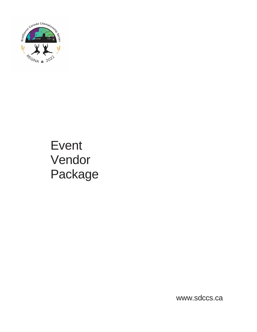

# Event Vendor Package

[www.sdccs.ca](http://www.sdccs.ca/)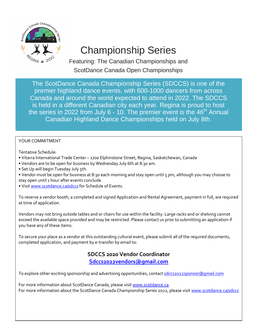

Featuring: The Canadian Championships and ScotDance Canada Open Championships

The ScotDance Canada Championship Series (SDCCS) is one of the premier highland dance events, with 600-1000 dancers from across Canada and around the world expected to attend in 2022. The SDCCS is held in a different Canadian city each year. Regina is proud to host the series in 2022 from July  $6 - 10$ . The premier event is the  $46<sup>th</sup>$  Annual Canadian Highland Dance Championships held on July 8th.

#### YOUR COMMITMENT

Tentative Schedule:

- Vitarra International Trade Center 1700 Elphinstone Street, Regina, Saskatchewan, Canada
- Vendors are to be open for business by Wednesday July 6th at 8:30 am.
- Set Up will begin Tuesday July 5th.
- Vendor must be open for business at 8:30 each morning and stay open until 5 pm, although you may choose to stay open until 1 hour after events conclude.
- Visit [www.scotdance.ca/sdccs](file:///E:/SDCCS%202022/www.scotdance.ca/sdccs) for Schedule of Events.

To reserve a vendor booth, a completed and signed Application and Rental Agreement, payment in full, are required at time of application.

Vendors may not bring outside tables and or chairs for use within the facility. Large racks and or shelving cannot exceed the available space provided and may be restricted. Please contact us prior to submitting an application if you have any of these items.

To secure your place as a vendor at this outstanding cultural event, please submit all of the required documents, completed application, and payment by e-transfer by email to:

### **SDCCS 2020 Vendor Coordinator [Sdccs2022vendors@gmail.com](file:///E:/SDCCS%202022/Sdccs2022vendors@gmail.com)**

To explore other exciting sponsorship and advertising opportunities, contact [sdccs2022sponsor@gmail.com](file:///E:/SDCCS%202022/sdccs2022sponsor@gmail.com)

For more information about ScotDance Canada, please visit [www.scotdance.ca](http://www.scotdance.ca/) For more information about the ScotDance Canada Championship Series 2022, please visit [www.scotdance.ca/sdccs](file:///E:/SDCCS%202022/www.scotdance.ca/sdccs)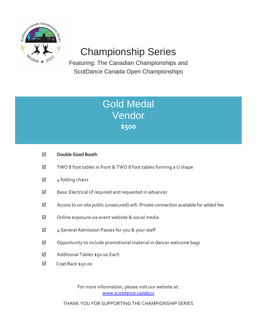

Featuring: The Canadian Championships and ScotDance Canada Open Championships

## Gold Medal Vendor **\$500**

- **Double Sized Booth**
- TWO 8 foot tables in front & TWO 8 foot tables forming a U shape
- $\boxtimes$  4 folding chairs
- $\boxtimes$  Basic Electrical (if required and requested in advance)
- $\boxtimes$  Access to on-site public (unsecured) wifi. Private connection available for added fee
- $\boxtimes$  Online exposure via event website & social media
- $\boxtimes$  4 General Admission Passes for you & your staff
- $\boxtimes$  Opportunity to include promotional material in dancer welcome bags
- Additional Tables \$50.00 Each  $\triangledown$
- $\Delta$ Coat Rack \$50.00

For more information, please visit our website at: [www.scotdance.ca/sdccs](file:///E:/SDCCS%202022/www.scotdance.ca/sdccs)

THANK YOU FOR SUPPORTING THE CHAMPIONSHIP SERIES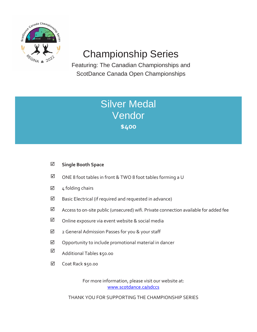

Featuring: The Canadian Championships and ScotDance Canada Open Championships

### **Silver Medal** Vendor **\$400**

### **Single Booth Space**

- $\boxtimes$  ONE 8 foot tables in front & TWO 8 foot tables forming a U
- shape 4 folding chairs ☑
- Basic Electrical (if required and requested in advance)  $\blacktriangledown$
- Access to on-site public (unsecured) wifi. Private connection available for added fee ☑
- Online exposure via event website & social media  $\overline{\mathsf{M}}$
- 2 General Admission Passes for you & your staff ☑
- Opportunity to include promotional material in dancer  $\Delta$
- welcome bags Additional Tables \$50.00 ☑
- Each Coat Rack \$50.00  $\blacktriangledown$

For more information, please visit our website at: [www.scotdance.ca/sdccs](file:///E:/SDCCS%202022/www.scotdance.ca/sdccs)

THANK YOU FOR SUPPORTING THE CHAMPIONSHIP SERIES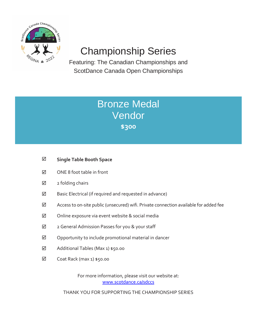

Featuring: The Canadian Championships and ScotDance Canada Open Championships

### Bronze Medal Vendor **\$300**

- **Single Table Booth Space**
- $\boxtimes$  ONE 8 foot table in front
- $\boxtimes$  2 folding chairs
- $\boxtimes$  Basic Electrical (if required and requested in advance)
- $\boxtimes$  Access to on-site public (unsecured) wifi. Private connection available for added fee
- $\boxtimes$  Online exposure via event website & social media
- 2 General Admission Passes for you & your staff
- $\boxtimes$  Opportunity to include promotional material in dancer
- welcome bags Additional Tables (Max 1) \$50.00
- $\boxtimes$  Coat Rack (max 1) \$50.00

For more information, please visit our website at: [www.scotdance.ca/sdccs](file:///E:/SDCCS%202022/www.scotdance.ca/sdccs)

THANK YOU FOR SUPPORTING THE CHAMPIONSHIP SERIES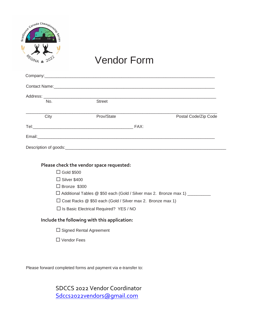|               | Sanada Championska |  |
|---------------|--------------------|--|
|               |                    |  |
| <b>REGINA</b> | $*2022$            |  |

## Vendor Form

| No.  | <b>Street</b> |      |                      |
|------|---------------|------|----------------------|
|      |               |      |                      |
| City | Prov/State    |      | Postal Code/Zip Code |
|      |               | FAX: |                      |
|      |               |      |                      |
|      |               |      |                      |

#### **Please check the vendor space requested:**

 $\Box$  Gold \$500

□ Silver \$400

□ Bronze \$300

□ Additional Tables @ \$50 each (Gold / Silver max 2. Bronze max 1) \_\_\_\_\_\_\_\_\_\_

□ Coat Racks @ \$50 each (Gold / Silver max 2. Bronze max 1)

 $\overline{a}$   $\overline{b}$   $\overline{c}$   $\overline{c}$  $\square$  Is Basic Electrical Required? YES / NO

#### **Include the following with this application:**

- $\square$  Signed Rental Agreement
- □ Vendor Fees

Please forward completed forms and payment via e-transfer to:

SDCCS 2022 Vendor Coordinator [Sdccs2022vendors@gmail.com](file:///E:/SDCCS%202022/Sdccs2022vendors@gmail.com)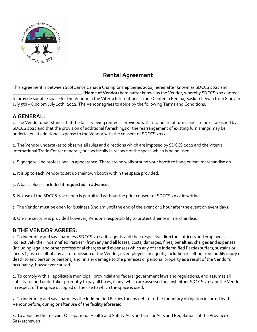

### **Rental Agreement**

This agreement is between ScotDance Canada Championship Series 2022, hereinafter known as SDCCS 2022 and \_\_\_\_\_\_\_\_\_\_\_\_\_\_\_\_\_\_\_\_\_\_\_\_\_\_\_\_\_\_\_ (**Name of Vendor**) hereinafter known as the Vendor, whereby SDCCS 2022 agrees to provide suitable space for the Vendor in the Viterra International Trade Center in Regina, Saskatchewan from 8:00 a.m. July 5th – 8:00 pm July 10th, 2022. The Vendor agrees to abide by the following Terms and Conditions:

### **A GENERAL:**

1. The Vendor understands that the facility being rented is provided with a standard of furnishings to be established by SDCCS 2022 and that the provision of additional furnishings or the rearrangement of existing furnishings may be undertaken at additional expense to the Vendor with the consent of SDCCS 2022.

2. The Vendor undertakes to observe all rules and directions which are imposed by SDCCS 2022 and the Viterra International Trade Center generally or specifically in respect of the space which is being used.

3. Signage will be professional in appearance. There are no walls around your booth to hang or lean merchandise on.

4. It is up to each Vendor to set up their own booth within the space provided.

5. A basic plug is included **if requested in advance**.

6. No use of the SDCCS 2022 Logo is permitted without the prior consent of SDCCS 2022 in writing.

7. The Vendor must be open for business 8:30 am until the end of the event or 1 hour after the event on event days.

8. On-site security is provided however, Vendor's responsibility to protect their own merchandise.

### **B THE VENDOR AGREES:**

1. To indemnify and save harmless SDCCS 2022, its agents and their respective directors, officers and employees (collectively the "Indemnified Parties") from any and all losses, costs, damages, fines, penalties, charges and expenses (including legal and other professional charges and expenses) which any of the Indemnified Parties suffers, sustains or incurs (i) as a result of any act or omission of the Vendor, its employees or agents; including resulting from bodily injury or death to any person or persons; and (ii) any damage to the premises or personal property as a result of the Vendor's occupancy, howsoever caused.

2. To comply with all applicable municipal, provincial and federal government laws and regulations, and assumes all liability for and undertakes promptly to pay all taxes, if any, which are assessed against either SDCCS 2022 or the Vendor in respect of the space occupied or the use to which the space is used.

3. To indemnify and save harmless the Indemnified Parties for any debt or other monetary obligation incurred by the Vendor before, during or after use of the facility aforesaid.

4. To abide by the relevant Occupational Health and Safety Acts and similar Acts and Regulations of the Province of Saskatchewan.